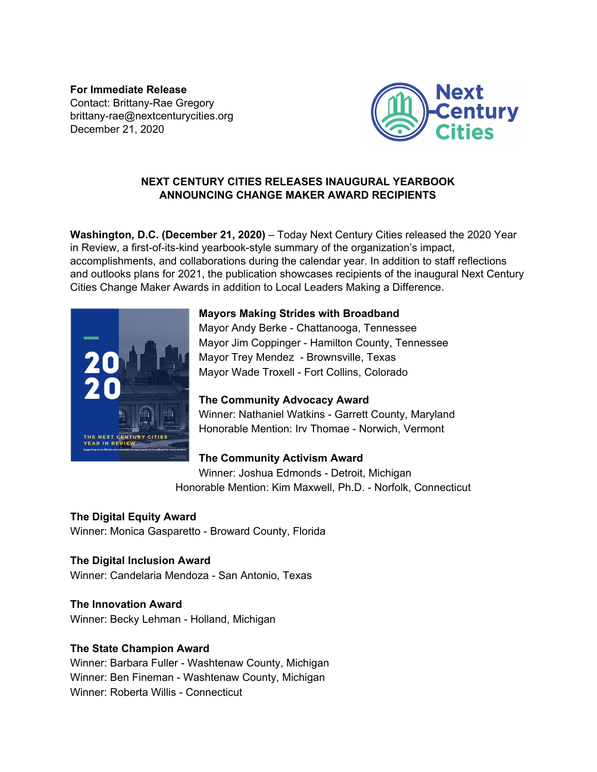**For Immediate Release** Contact: Brittany-Rae Gregory brittany-rae@nextcenturycities.org December 21, 2020



### **NEXT CENTURY CITIES RELEASES INAUGURAL YEARBOOK ANNOUNCING CHANGE MAKER AWARD RECIPIENTS**

**Washington, D.C. (December 21, 2020)** – Today Next Century Cities released the 2020 Year in Review, a first-of-its-kind yearbook-style summary of the organization's impact, accomplishments, and collaborations during the calendar year. In addition to staff reflections and outlooks plans for 2021, the publication showcases recipients of the inaugural Next Century Cities Change Maker Awards in addition to Local Leaders Making a Difference.



### **Mayors Making Strides with Broadband**

Mayor Andy Berke - Chattanooga, Tennessee Mayor Jim Coppinger - Hamilton County, Tennessee Mayor Trey Mendez - Brownsville, Texas Mayor Wade Troxell - Fort Collins, Colorado

# **The Community Advocacy Award**

Winner: Nathaniel Watkins - Garrett County, Maryland Honorable Mention: Irv Thomae - Norwich, Vermont

# **The Community Activism Award**

Winner: Joshua Edmonds - Detroit, Michigan Honorable Mention: Kim Maxwell, Ph.D. - Norfolk, Connecticut

# **The Digital Equity Award**

Winner: Monica Gasparetto - Broward County, Florida

# **The Digital Inclusion Award**

Winner: Candelaria Mendoza - San Antonio, Texas

## **The Innovation Award**

Winner: Becky Lehman - Holland, Michigan

## **The State Champion Award**

Winner: Barbara Fuller - Washtenaw County, Michigan Winner: Ben Fineman - Washtenaw County, Michigan Winner: Roberta Willis - Connecticut